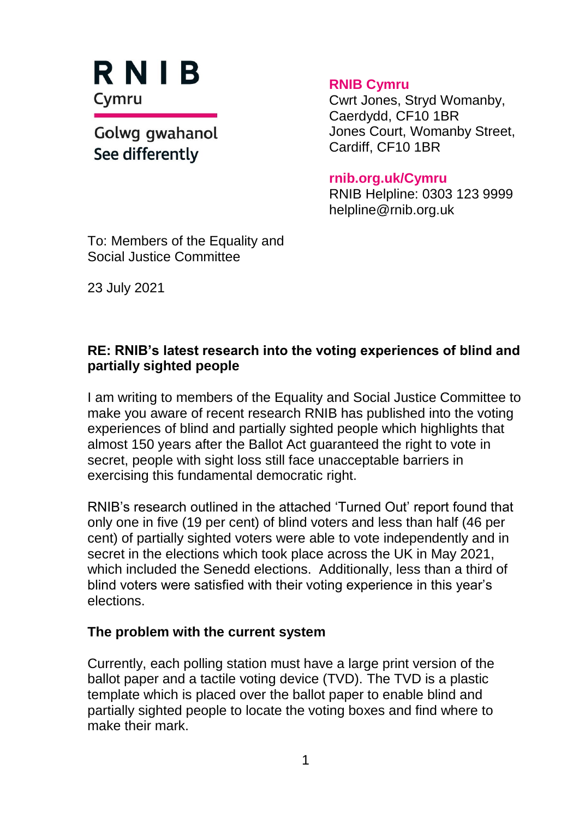RNIB Cymru

Golwg gwahanol See differently

**RNIB Cymru**

Cwrt Jones, Stryd Womanby, Caerdydd, CF10 1BR Jones Court, Womanby Street, Cardiff, CF10 1BR

#### **rnib.org.uk/Cymru**

RNIB Helpline: 0303 123 9999 helpline@rnib.org.uk

To: Members of the Equality and Social Justice Committee

23 July 2021

### **RE: RNIB's latest research into the voting experiences of blind and partially sighted people**

I am writing to members of the Equality and Social Justice Committee to make you aware of recent research RNIB has published into the voting experiences of blind and partially sighted people which highlights that almost 150 years after the Ballot Act guaranteed the right to vote in secret, people with sight loss still face unacceptable barriers in exercising this fundamental democratic right.

RNIB's research outlined in the attached 'Turned Out' report found that only one in five (19 per cent) of blind voters and less than half (46 per cent) of partially sighted voters were able to vote independently and in secret in the elections which took place across the UK in May 2021, which included the Senedd elections. Additionally, less than a third of blind voters were satisfied with their voting experience in this year's elections.

#### **The problem with the current system**

Currently, each polling station must have a large print version of the ballot paper and a tactile voting device (TVD). The TVD is a plastic template which is placed over the ballot paper to enable blind and partially sighted people to locate the voting boxes and find where to make their mark.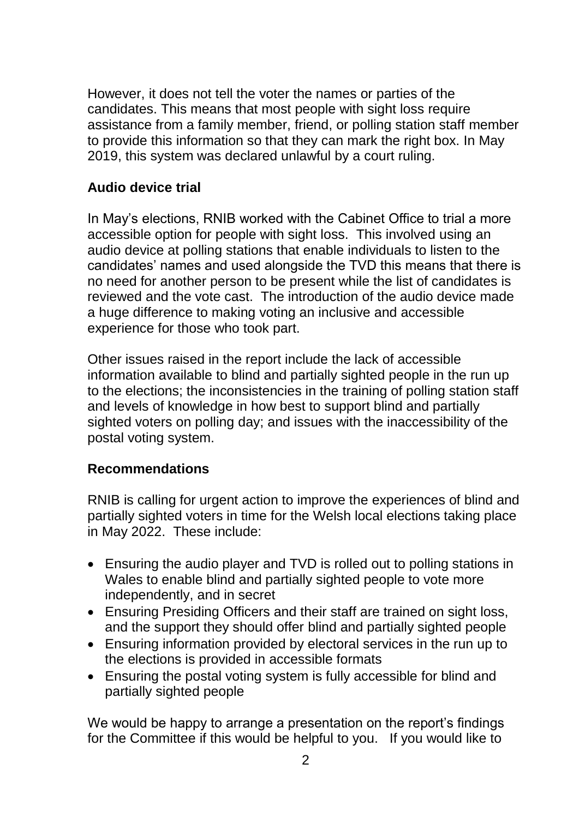However, it does not tell the voter the names or parties of the candidates. This means that most people with sight loss require assistance from a family member, friend, or polling station staff member to provide this information so that they can mark the right box. In May 2019, this system was declared unlawful by a court ruling.

## **Audio device trial**

In May's elections, RNIB worked with the Cabinet Office to trial a more accessible option for people with sight loss. This involved using an audio device at polling stations that enable individuals to listen to the candidates' names and used alongside the TVD this means that there is no need for another person to be present while the list of candidates is reviewed and the vote cast. The introduction of the audio device made a huge difference to making voting an inclusive and accessible experience for those who took part.

Other issues raised in the report include the lack of accessible information available to blind and partially sighted people in the run up to the elections; the inconsistencies in the training of polling station staff and levels of knowledge in how best to support blind and partially sighted voters on polling day; and issues with the inaccessibility of the postal voting system.

# **Recommendations**

RNIB is calling for urgent action to improve the experiences of blind and partially sighted voters in time for the Welsh local elections taking place in May 2022. These include:

- Ensuring the audio player and TVD is rolled out to polling stations in Wales to enable blind and partially sighted people to vote more independently, and in secret
- Ensuring Presiding Officers and their staff are trained on sight loss, and the support they should offer blind and partially sighted people
- Ensuring information provided by electoral services in the run up to the elections is provided in accessible formats
- Ensuring the postal voting system is fully accessible for blind and partially sighted people

We would be happy to arrange a presentation on the report's findings for the Committee if this would be helpful to you. If you would like to